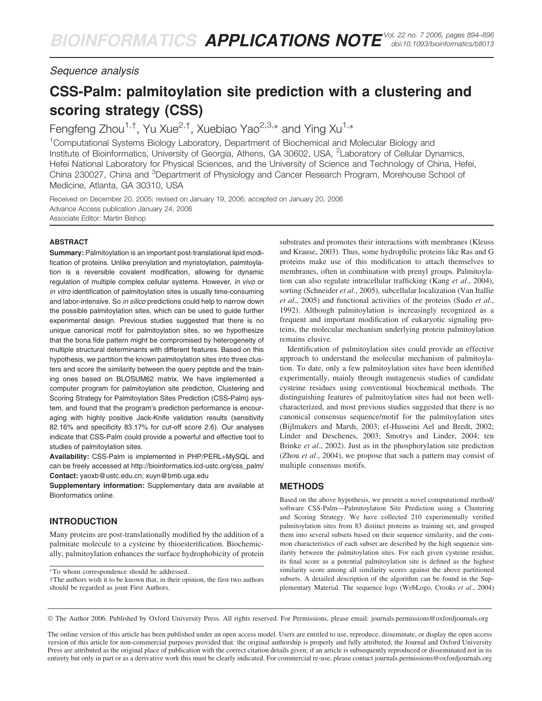Sequence analysis

# CSS-Palm: palmitoylation site prediction with a clustering and scoring strategy (CSS)

Fengfeng Zhou<sup>1,†</sup>, Yu Xue<sup>2,†</sup>, Xuebiao Yao<sup>2,3,\*</sup> and Ying Xu<sup>1,\*</sup>

<sup>1</sup>Computational Systems Biology Laboratory, Department of Biochemical and Molecular Biology and Institute of Bioinformatics, University of Georgia, Athens, GA 30602, USA, <sup>2</sup>Laboratory of Cellular Dynamics, Hefei National Laboratory for Physical Sciences, and the University of Science and Technology of China, Hefei, China 230027, China and <sup>3</sup>Department of Physiology and Cancer Research Program, Morehouse School of Medicine, Atlanta, GA 30310, USA

Received on December 20, 2005; revised on January 19, 2006; accepted on January 20, 2006 Advance Access publication January 24, 2006 Associate Editor: Martin Bishop

#### ABSTRACT

Summary: Palmitoylation is an important post-translational lipid modification of proteins. Unlike prenylation and myristoylation, palmitoylation is a reversible covalent modification, allowing for dynamic regulation of multiple complex cellular systems. However, in vivo or in vitro identification of palmitoylation sites is usually time-consuming and labor-intensive. So in silico predictions could help to narrow down the possible palmitoylation sites, which can be used to guide further experimental design. Previous studies suggested that there is no unique canonical motif for palmitoylation sites, so we hypothesize that the bona fide pattern might be compromised by heterogeneity of multiple structural determinants with different features. Based on this hypothesis, we partition the known palmitoylation sites into three clusters and score the similarity between the query peptide and the training ones based on BLOSUM62 matrix. We have implemented a computer program for palmitoylation site prediction, Clustering and Scoring Strategy for Palmitoylation Sites Prediction (CSS-Palm) system, and found that the program's prediction performance is encouraging with highly positive Jack-Knife validation results (sensitivity 82.16% and specificity 83.17% for cut-off score 2.6). Our analyses indicate that CSS-Palm could provide a powerful and effective tool to studies of palmitoylation sites.

Availability: CSS-Palm is implemented in PHP/PERL+MySQL and can be freely accessed at [http://bioinformatics.lcd-ustc.org/css\\_palm/](http://bioinformatics.lcd-ustc.org/css_palm/) Contact: yaoxb@ustc.edu.cn; xuyn@bmb.uga.edu

Supplementary information: Supplementary data are available at Bionformatics online.

# INTRODUCTION

Many proteins are post-translationally modified by the addition of a palmitate molecule to a cysteine by thioesterification. Biochemically, palmitoylation enhances the surface hydrophobicity of protein

To whom correspondence should be addressed.

†The authors wish it to be known that, in their opinion, the first two authors should be regarded as joint First Authors.

substrates and promotes their interactions with membranes (Kleuss and Krause, 2003). Thus, some hydrophilic proteins like Ras and G proteins make use of this modification to attach themselves to membranes, often in combination with prenyl groups. Palmitoylation can also regulate intracellular trafficking (Kang et al., 2004), sorting (Schneider et al., 2005), subcellular localization (Van Itallie et al., 2005) and functional activities of the proteins (Sudo et al., 1992). Although palmitoylation is increasingly recognized as a frequent and important modification of eukaryotic signaling proteins, the molecular mechanism underlying protein palmitoylation remains elusive.

Identification of palmitoylation sites could provide an effective approach to understand the molecular mechanism of palmitoylation. To date, only a few palmitoylation sites have been identified experimentally, mainly through mutagenesis studies of candidate cysteine residues using conventional biochemical methods. The distinguishing features of palmitoylation sites had not been wellcharacterized, and most previous studies suggested that there is no canonical consensus sequence/motif for the palmitoylation sites (Bijlmakers and Marsh, 2003; el-Husseini Ael and Bredt, 2002; Linder and Deschenes, 2003; Smotrys and Linder, 2004; ten Brinke et al., 2002). Just as in the phosphorylation site prediction (Zhou *et al.*, 2004), we propose that such a pattern may consist of multiple consensus motifs.

# METHODS

Based on the above hypothesis, we present a novel computational method/ software CSS-Palm—Palmitoylation Site Prediction using a Clustering and Scoring Strategy. We have collected 210 experimentally verified palmitoylation sites from 83 distinct proteins as training set, and grouped them into several subsets based on their sequence similarity, and the common characteristics of each subset are described by the high sequence similarity between the palmitoylation sites. For each given cysteine residue, its final score as a potential palmitoylation site is defined as the highest similarity score among all similarity scores against the above partitioned subsets. A detailed description of the algorithm can be found in the Supplementary Material. The sequence logo (WebLogo, Crooks et al., 2004)

The Author 2006. Published by Oxford University Press. All rights reserved. For Permissions, please email: journals.permissions@oxfordjournals.org

The online version of this article has been published under an open access model. Users are entitled to use, reproduce, disseminate, or display the open access version of this article for non-commercial purposes provided that: the original authorship is properly and fully attributed; the Journal and Oxford University Press are attributed as the original place of publication with the correct citation details given; if an article is subsequently reproduced or disseminated not in its entirety but only in part or as a derivative work this must be clearly indicated. For commercial re-use, please contact journals.permissions@oxfordjournals.org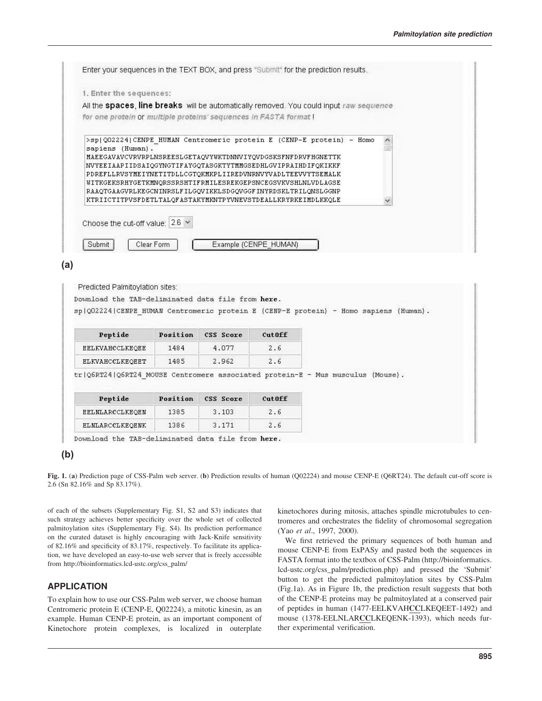|                  | 1. Enter the sequences:<br>All the spaces, line breaks will be automatically removed. You could input raw sequence                   |                       |  |  |
|------------------|--------------------------------------------------------------------------------------------------------------------------------------|-----------------------|--|--|
|                  | for one protein or multiple proteins' sequences in FASTA format!                                                                     |                       |  |  |
|                  |                                                                                                                                      |                       |  |  |
| sapiens (Human). | >sp Q02224 CENPE HUMAN Centromeric protein E (CENP-E protein) - Homo<br>MAEEGAVAVCVRVRPLNSREESLGETAOVYWKTDNNVIYOVDGSKSFNFDRVFHGNETTK |                       |  |  |
|                  | NVYEEIAAPIIDSAIQGYNGTIFAYGQTASGKTYTMMGSEDHLGVIPRAIHDIFQKIKKF                                                                         |                       |  |  |
|                  | PDREFLLRVSYMEIYNETITDLLCGTOKMKPLIIREDVNRNVYVADLTEEVVYTSEMALK<br>UITKGEKSRHYGETKMNQRSSRSHTIFRMILESREKGEPSNCEGSVKVSHLNLVDLAGSE         |                       |  |  |
|                  | RAAQTGAAGVRLKEGCNINRSLFILGQVIKKLSDGQVGGFINYRDSKLTRILQNSLGGNP                                                                         |                       |  |  |
|                  | KTRIICTITPVSFDETLTALOFASTAKYMKNTPYVNEVSTDEALLKRYRKEIMDLKKOLE                                                                         |                       |  |  |
|                  | Choose the cut-off value: $2.6 \times$                                                                                               |                       |  |  |
|                  |                                                                                                                                      |                       |  |  |
| Submit           | Clear Form                                                                                                                           | Example (CENPE_HUMAN) |  |  |
|                  |                                                                                                                                      |                       |  |  |
|                  |                                                                                                                                      |                       |  |  |

| where we can see the first state of |       |       |     |  |
|-------------------------------------|-------|-------|-----|--|
| EELKVAHCCLKEQEE                     | 1484  | 4.077 | . h |  |
| ELKVAHCCLKEOEET                     | 148.5 | 2.962 | 2.6 |  |
|                                     |       |       |     |  |

Position CSS Score

tr | Q6RT24 | Q6RT24 MOUSE Centromere associated protein-E - Mus musculus (Mouse).

| Peptide                | Position | CSS Score | Cut0ff |  |
|------------------------|----------|-----------|--------|--|
| EELMLARCCLKEOEN        | 1385     | 3.103     | 2.6    |  |
| <b>ELMLARCCLKEQENK</b> | 1386     | 3.171     | 2.6    |  |

Download the TAB-deliminated data file from here.

#### **(b)**

Pentide

Fig. 1. (a) Prediction page of CSS-Palm web server. (b) Prediction results of human (Q02224) and mouse CENP-E (Q6RT24). The default cut-off score is 2.6 (Sn 82.16% and Sp 83.17%).

 $C$ ut Off

of each of the subsets (Supplementary Fig. S1, S2 and S3) indicates that such strategy achieves better specificity over the whole set of collected palmitoylation sites (Supplementary Fig. S4). Its prediction performance on the curated dataset is highly encouraging with Jack-Knife sensitivity of 82.16% and specificity of 83.17%, respectively. To facilitate its application, we have developed an easy-to-use web server that is freely accessible from [http://bioinformatics.lcd-ustc.org/css\\_palm/](http://bioinformatics.lcd-ustc.org/css_palm/)

#### APPLICATION

To explain how to use our CSS-Palm web server, we choose human Centromeric protein E (CENP-E, Q02224), a mitotic kinesin, as an example. Human CENP-E protein, as an important component of Kinetochore protein complexes, is localized in outerplate

kinetochores during mitosis, attaches spindle microtubules to centromeres and orchestrates the fidelity of chromosomal segregation (Yao et al., 1997, 2000).

We first retrieved the primary sequences of both human and mouse CENP-E from ExPASy and pasted both the sequences in FASTA format into the textbox of CSS-Palm [\(http://bioinformatics.](http://bioinformatics) lcd-ustc.org/css\_palm/prediction.php) and pressed the 'Submit' button to get the predicted palmitoylation sites by CSS-Palm (Fig.1a). As in Figure 1b, the prediction result suggests that both of the CENP-E proteins may be palmitoylated at a conserved pair of peptides in human (1477-EELKVAHCCLKEQEET-1492) and mouse (1378-EELNLARCCLKEQENK-1393), which needs further experimental verification.